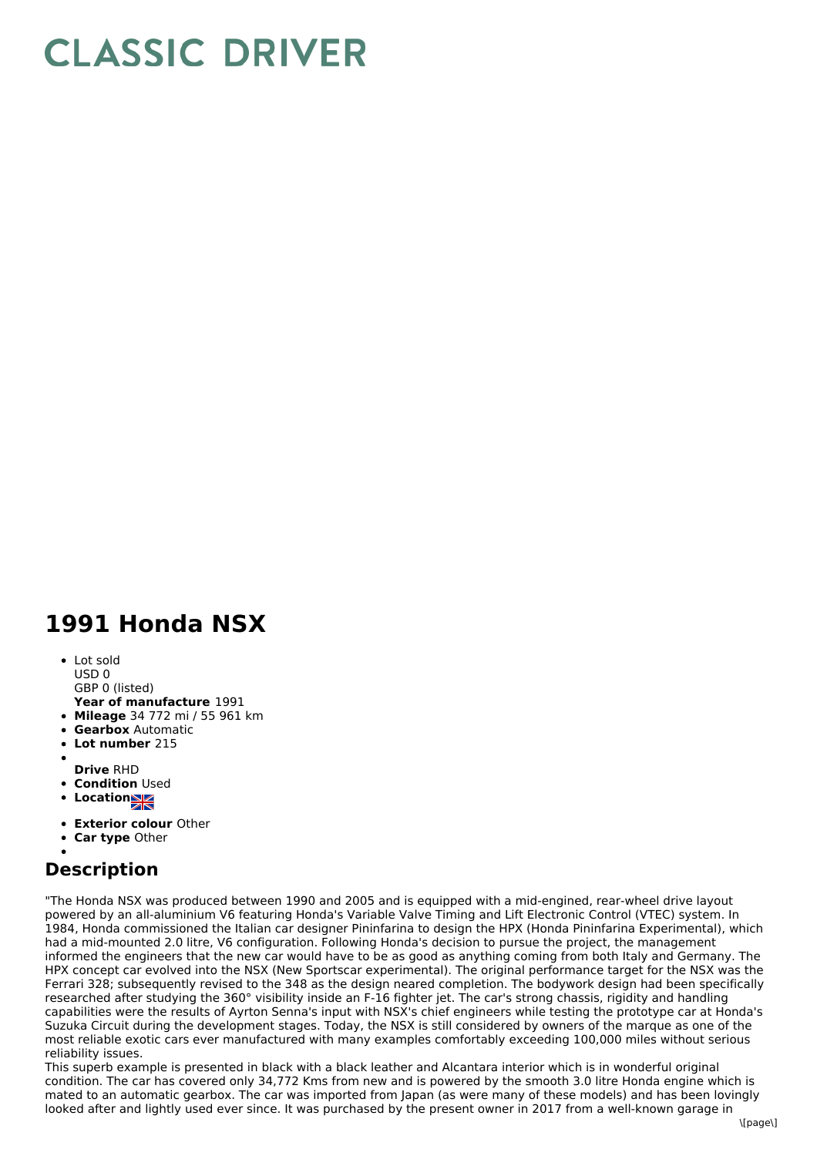## **CLASSIC DRIVER**

## **1991 Honda NSX**

• Lot sold USD 0

GBP 0 (listed)

- **Year of manufacture** 1991
- **Mileage** 34 772 mi / 55 961 km
- **Gearbox** Automatic
- **Lot number** 215
- 
- **Drive** RHD
- **Condition** Used
- **Locations**
- **Exterior colour** Other
- **Car type** Other

## **Description**

"The Honda NSX was produced between 1990 and 2005 and is equipped with a mid-engined, rear-wheel drive layout powered by an all-aluminium V6 featuring Honda's Variable Valve Timing and Lift Electronic Control (VTEC) system. In 1984, Honda commissioned the Italian car designer Pininfarina to design the HPX (Honda Pininfarina Experimental), which had a mid-mounted 2.0 litre, V6 configuration. Following Honda's decision to pursue the project, the management informed the engineers that the new car would have to be as good as anything coming from both Italy and Germany. The HPX concept car evolved into the NSX (New Sportscar experimental). The original performance target for the NSX was the Ferrari 328; subsequently revised to the 348 as the design neared completion. The bodywork design had been specifically researched after studying the 360° visibility inside an F-16 fighter jet. The car's strong chassis, rigidity and handling capabilities were the results of Ayrton Senna's input with NSX's chief engineers while testing the prototype car at Honda's Suzuka Circuit during the development stages. Today, the NSX is still considered by owners of the marque as one of the most reliable exotic cars ever manufactured with many examples comfortably exceeding 100,000 miles without serious reliability issues.

This superb example is presented in black with a black leather and Alcantara interior which is in wonderful original condition. The car has covered only 34,772 Kms from new and is powered by the smooth 3.0 litre Honda engine which is mated to an automatic gearbox. The car was imported from Japan (as were many of these models) and has been lovingly looked after and lightly used ever since. It was purchased by the present owner in 2017 from a well-known garage in